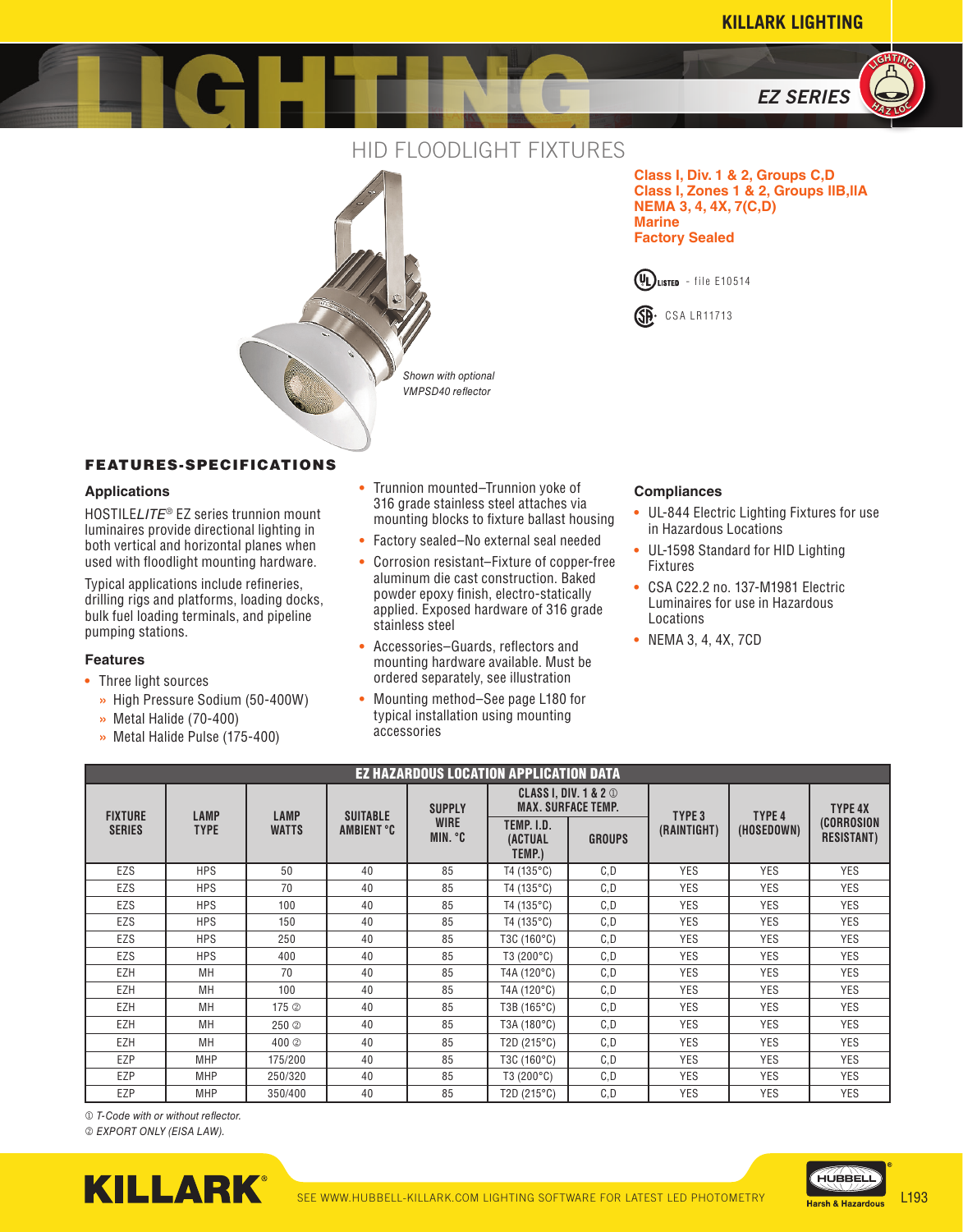*EZ SERIES*

**<sup>H</sup><sup>A</sup> <sup>Z</sup> <sup>L</sup>O<sup>C</sup> A**<br>**C**<br>*L*<br>L<sub>I</sub> **LIHTN<sup>G</sup>**





**Class I, Div. 1 & 2, Groups C,D Class I, Zones 1 & 2, Groups llB,llA NEMA 3, 4, 4X, 7(C,D) Marine Factory Sealed**





## FEATURES-SPECIFICATIONS

### **Applications**

HOSTILE*LITE*® EZ series trunnion mount luminaires provide directional lighting in both vertical and horizontal planes when used with floodlight mounting hardware.

Typical applications include refineries, drilling rigs and platforms, loading docks, bulk fuel loading terminals, and pipeline pumping stations.

#### **Features**

- **•** Three light sources
	- **»** High Pressure Sodium (50-400W)
	- **»** Metal Halide (70-400)
	- **»** Metal Halide Pulse (175-400)
- **•** Trunnion mounted–Trunnion yoke of 316 grade stainless steel attaches via mounting blocks to fixture ballast housing
- **•** Factory sealed–No external seal needed
- **•** Corrosion resistant–Fixture of copper-free aluminum die cast construction. Baked powder epoxy finish, electro-statically applied. Exposed hardware of 316 grade stainless steel
- **•** Accessories–Guards, reflectors and mounting hardware available. Must be ordered separately, see illustration
- **•** Mounting method–See page L180 for typical installation using mounting accessories

### **Compliances**

- **•** UL-844 Electric Lighting Fixtures for use in Hazardous Locations
- **•** UL-1598 Standard for HID Lighting Fixtures
- **•** CSA C22.2 no. 137-M1981 Electric Luminaires for use in Hazardous Locations
- **•** NEMA 3, 4, 4X, 7CD

| <b>EZ HAZARDOUS LOCATION APPLICATION DATA</b> |                            |                             |                               |                                         |                                                               |               |                   |                   |                                 |
|-----------------------------------------------|----------------------------|-----------------------------|-------------------------------|-----------------------------------------|---------------------------------------------------------------|---------------|-------------------|-------------------|---------------------------------|
| <b>FIXTURE</b>                                | <b>LAMP</b><br><b>TYPE</b> | <b>LAMP</b><br><b>WATTS</b> | <b>SUITABLE</b><br>AMBIENT °C | <b>SUPPLY</b><br><b>WIRE</b><br>MIN. °C | <b>CLASS I, DIV. 1 &amp; 2 1</b><br><b>MAX. SURFACE TEMP.</b> |               | TYPE <sub>3</sub> | TYPE <sub>4</sub> | <b>TYPE 4X</b>                  |
| <b>SERIES</b>                                 |                            |                             |                               |                                         | TEMP. I.D.<br>(ACTUAL<br>TEMP.)                               | <b>GROUPS</b> | (RAINTIGHT)       | (HOSEDOWN)        | (CORROSION<br><b>RESISTANT)</b> |
| EZS                                           | <b>HPS</b>                 | 50                          | 40                            | 85                                      | $T4(135^{\circ}C)$                                            | C,D           | <b>YES</b>        | <b>YES</b>        | <b>YES</b>                      |
| EZS                                           | <b>HPS</b>                 | 70                          | 40                            | 85                                      | $T4(135^{\circ}C)$                                            | C,D           | <b>YES</b>        | <b>YES</b>        | <b>YES</b>                      |
| EZS                                           | <b>HPS</b>                 | 100                         | 40                            | 85                                      | $T4(135^{\circ}C)$                                            | C, D          | <b>YES</b>        | <b>YES</b>        | <b>YES</b>                      |
| EZS                                           | <b>HPS</b>                 | 150                         | 40                            | 85                                      | $T4(135^{\circ}C)$                                            | C,D           | <b>YES</b>        | <b>YES</b>        | <b>YES</b>                      |
| EZS                                           | <b>HPS</b>                 | 250                         | 40                            | 85                                      | T3C (160°C)                                                   | C, D          | <b>YES</b>        | <b>YES</b>        | <b>YES</b>                      |
| EZS                                           | <b>HPS</b>                 | 400                         | 40                            | 85                                      | $T3(200^{\circ}C)$                                            | C,D           | <b>YES</b>        | <b>YES</b>        | <b>YES</b>                      |
| EZH                                           | <b>MH</b>                  | 70                          | 40                            | 85                                      | T4A (120°C)                                                   | C, D          | <b>YES</b>        | <b>YES</b>        | <b>YES</b>                      |
| EZH                                           | <b>MH</b>                  | 100                         | 40                            | 85                                      | T4A (120°C)                                                   | C, D          | <b>YES</b>        | <b>YES</b>        | <b>YES</b>                      |
| EZH                                           | MН                         | 175 <sup><sup>2</sup></sup> | 40                            | 85                                      | T3B (165°C)                                                   | C.D           | <b>YES</b>        | <b>YES</b>        | <b>YES</b>                      |
| EZH                                           | MН                         | 250 <sup>o</sup>            | 40                            | 85                                      | T3A (180°C)                                                   | C.D           | <b>YES</b>        | <b>YES</b>        | <b>YES</b>                      |
| EZH                                           | MН                         | 400 <sup>o</sup>            | 40                            | 85                                      | T2D $(215^{\circ}C)$                                          | C,D           | <b>YES</b>        | <b>YES</b>        | <b>YES</b>                      |
| EZP                                           | <b>MHP</b>                 | 175/200                     | 40                            | 85                                      | T3C (160°C)                                                   | C,D           | <b>YES</b>        | <b>YES</b>        | <b>YES</b>                      |
| EZP                                           | <b>MHP</b>                 | 250/320                     | 40                            | 85                                      | $T3(200^{\circ}C)$                                            | C, D          | <b>YES</b>        | <b>YES</b>        | <b>YES</b>                      |
| EZP                                           | <b>MHP</b>                 | 350/400                     | 40                            | 85                                      | T2D $(215^{\circ}C)$                                          | C, D          | <b>YES</b>        | <b>YES</b>        | <b>YES</b>                      |

 *T-Code with or without reflector.*

 *EXPORT ONLY (EISA LAW).*



HUBBEL